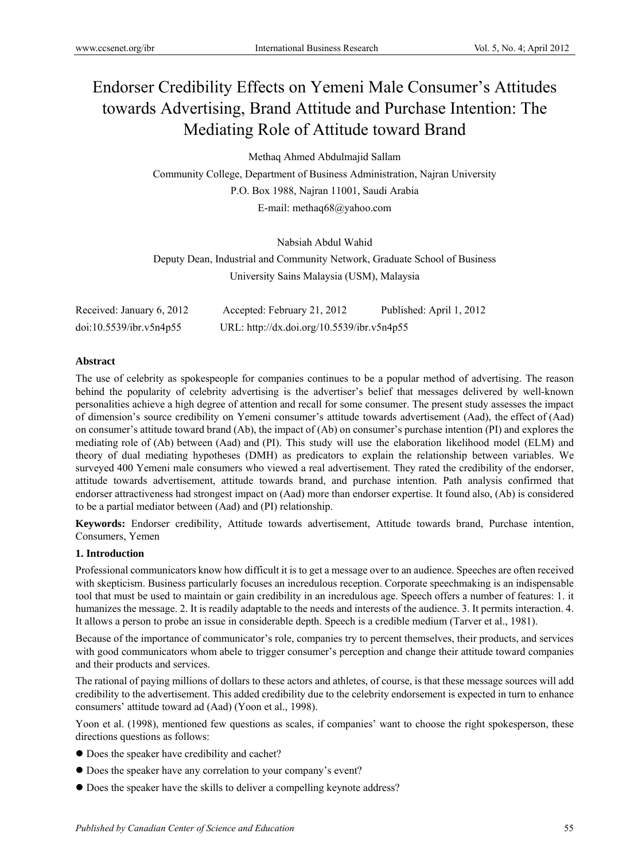# Endorser Credibility Effects on Yemeni Male Consumer's Attitudes towards Advertising, Brand Attitude and Purchase Intention: The Mediating Role of Attitude toward Brand

Methaq Ahmed Abdulmajid Sallam

Community College, Department of Business Administration, Najran University P.O. Box 1988, Najran 11001, Saudi Arabia E-mail: methaq68@yahoo.com

Nabsiah Abdul Wahid

Deputy Dean, Industrial and Community Network, Graduate School of Business University Sains Malaysia (USM), Malaysia

| Received: January 6, 2012 | Accepted: February 21, 2012                | Published: April 1, 2012 |
|---------------------------|--------------------------------------------|--------------------------|
| doi:10.5539/ibr.v5n4p55   | URL: http://dx.doi.org/10.5539/ibr.v5n4p55 |                          |

## **Abstract**

The use of celebrity as spokespeople for companies continues to be a popular method of advertising. The reason behind the popularity of celebrity advertising is the advertiser's belief that messages delivered by well-known personalities achieve a high degree of attention and recall for some consumer. The present study assesses the impact of dimension's source credibility on Yemeni consumer's attitude towards advertisement (Aad), the effect of (Aad) on consumer's attitude toward brand (Ab), the impact of (Ab) on consumer's purchase intention (PI) and explores the mediating role of (Ab) between (Aad) and (PI). This study will use the elaboration likelihood model (ELM) and theory of dual mediating hypotheses (DMH) as predicators to explain the relationship between variables. We surveyed 400 Yemeni male consumers who viewed a real advertisement. They rated the credibility of the endorser, attitude towards advertisement, attitude towards brand, and purchase intention. Path analysis confirmed that endorser attractiveness had strongest impact on (Aad) more than endorser expertise. It found also, (Ab) is considered to be a partial mediator between (Aad) and (PI) relationship.

**Keywords:** Endorser credibility, Attitude towards advertisement, Attitude towards brand, Purchase intention, Consumers, Yemen

## **1. Introduction**

Professional communicators know how difficult it is to get a message over to an audience. Speeches are often received with skepticism. Business particularly focuses an incredulous reception. Corporate speechmaking is an indispensable tool that must be used to maintain or gain credibility in an incredulous age. Speech offers a number of features: 1. it humanizes the message. 2. It is readily adaptable to the needs and interests of the audience. 3. It permits interaction. 4. It allows a person to probe an issue in considerable depth. Speech is a credible medium (Tarver et al., 1981).

Because of the importance of communicator's role, companies try to percent themselves, their products, and services with good communicators whom abele to trigger consumer's perception and change their attitude toward companies and their products and services.

The rational of paying millions of dollars to these actors and athletes, of course, is that these message sources will add credibility to the advertisement. This added credibility due to the celebrity endorsement is expected in turn to enhance consumers' attitude toward ad (Aad) (Yoon et al., 1998).

Yoon et al. (1998), mentioned few questions as scales, if companies' want to choose the right spokesperson, these directions questions as follows:

- Does the speaker have credibility and cachet?
- Does the speaker have any correlation to your company's event?
- Does the speaker have the skills to deliver a compelling keynote address?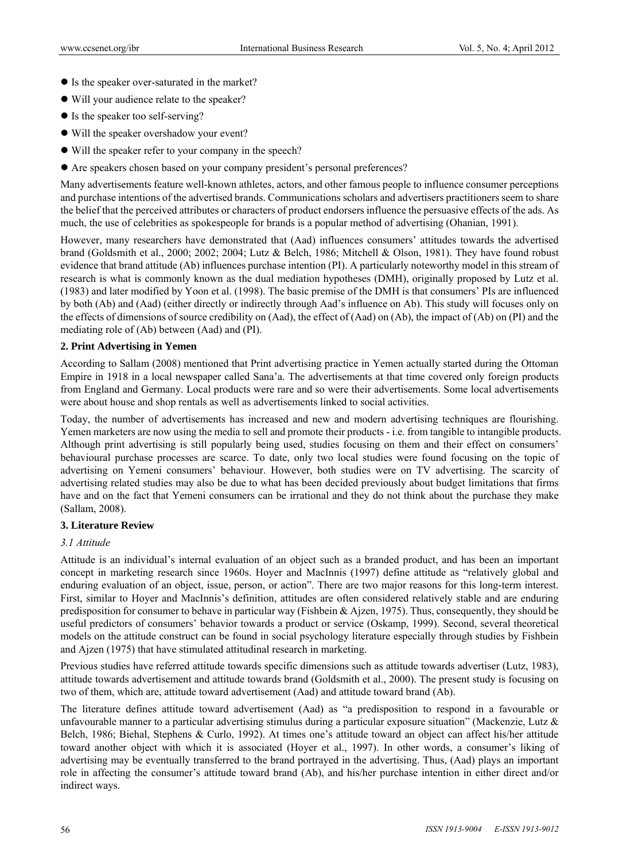- Is the speaker over-saturated in the market?
- Will your audience relate to the speaker?
- Is the speaker too self-serving?
- Will the speaker overshadow your event?
- Will the speaker refer to your company in the speech?
- Are speakers chosen based on your company president's personal preferences?

Many advertisements feature well-known athletes, actors, and other famous people to influence consumer perceptions and purchase intentions of the advertised brands. Communications scholars and advertisers practitioners seem to share the belief that the perceived attributes or characters of product endorsers influence the persuasive effects of the ads. As much, the use of celebrities as spokespeople for brands is a popular method of advertising (Ohanian, 1991).

However, many researchers have demonstrated that (Aad) influences consumers' attitudes towards the advertised brand (Goldsmith et al., 2000; 2002; 2004; Lutz & Belch, 1986; Mitchell & Olson, 1981). They have found robust evidence that brand attitude (Ab) influences purchase intention (PI). A particularly noteworthy model in this stream of research is what is commonly known as the dual mediation hypotheses (DMH), originally proposed by Lutz et al. (1983) and later modified by Yoon et al. (1998). The basic premise of the DMH is that consumers' PIs are influenced by both (Ab) and (Aad) (either directly or indirectly through Aad's influence on Ab). This study will focuses only on the effects of dimensions of source credibility on (Aad), the effect of (Aad) on (Ab), the impact of (Ab) on (PI) and the mediating role of (Ab) between (Aad) and (PI).

# **2. Print Advertising in Yemen**

According to Sallam (2008) mentioned that Print advertising practice in Yemen actually started during the Ottoman Empire in 1918 in a local newspaper called Sana'a. The advertisements at that time covered only foreign products from England and Germany. Local products were rare and so were their advertisements. Some local advertisements were about house and shop rentals as well as advertisements linked to social activities.

Today, the number of advertisements has increased and new and modern advertising techniques are flourishing. Yemen marketers are now using the media to sell and promote their products - i.e. from tangible to intangible products. Although print advertising is still popularly being used, studies focusing on them and their effect on consumers' behavioural purchase processes are scarce. To date, only two local studies were found focusing on the topic of advertising on Yemeni consumers' behaviour. However, both studies were on TV advertising. The scarcity of advertising related studies may also be due to what has been decided previously about budget limitations that firms have and on the fact that Yemeni consumers can be irrational and they do not think about the purchase they make (Sallam, 2008).

# **3. Literature Review**

# *3.1 Attitude*

Attitude is an individual's internal evaluation of an object such as a branded product, and has been an important concept in marketing research since 1960s. Hoyer and MacInnis (1997) define attitude as "relatively global and enduring evaluation of an object, issue, person, or action". There are two major reasons for this long-term interest. First, similar to Hoyer and MacInnis's definition, attitudes are often considered relatively stable and are enduring predisposition for consumer to behave in particular way (Fishbein & Ajzen, 1975). Thus, consequently, they should be useful predictors of consumers' behavior towards a product or service (Oskamp, 1999). Second, several theoretical models on the attitude construct can be found in social psychology literature especially through studies by Fishbein and Ajzen (1975) that have stimulated attitudinal research in marketing.

Previous studies have referred attitude towards specific dimensions such as attitude towards advertiser (Lutz, 1983), attitude towards advertisement and attitude towards brand (Goldsmith et al., 2000). The present study is focusing on two of them, which are, attitude toward advertisement (Aad) and attitude toward brand (Ab).

The literature defines attitude toward advertisement (Aad) as "a predisposition to respond in a favourable or unfavourable manner to a particular advertising stimulus during a particular exposure situation" (Mackenzie, Lutz & Belch, 1986; Biehal, Stephens & Curlo, 1992). At times one's attitude toward an object can affect his/her attitude toward another object with which it is associated (Hoyer et al., 1997). In other words, a consumer's liking of advertising may be eventually transferred to the brand portrayed in the advertising. Thus, (Aad) plays an important role in affecting the consumer's attitude toward brand (Ab), and his/her purchase intention in either direct and/or indirect ways.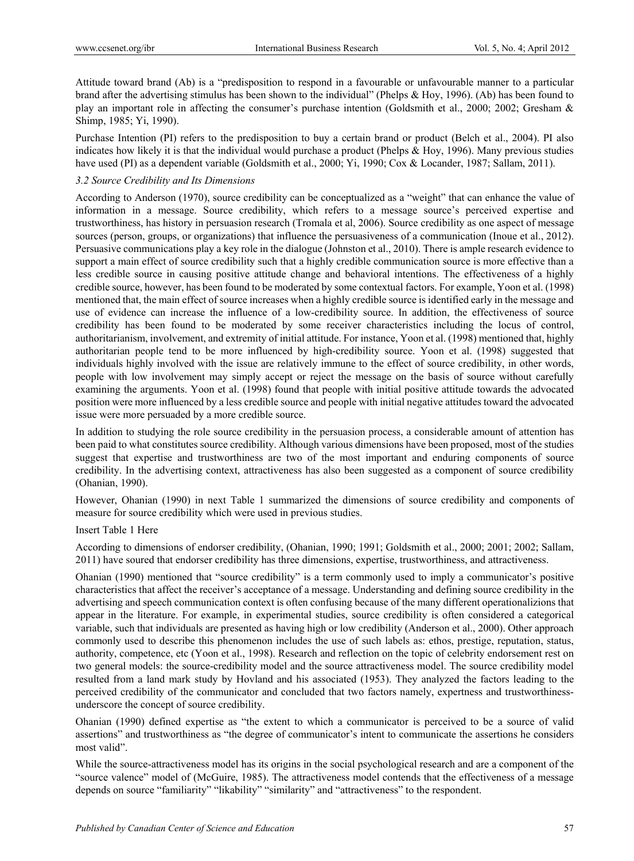Attitude toward brand (Ab) is a "predisposition to respond in a favourable or unfavourable manner to a particular brand after the advertising stimulus has been shown to the individual" (Phelps & Hoy, 1996). (Ab) has been found to play an important role in affecting the consumer's purchase intention (Goldsmith et al., 2000; 2002; Gresham & Shimp, 1985; Yi, 1990).

Purchase Intention (PI) refers to the predisposition to buy a certain brand or product (Belch et al., 2004). PI also indicates how likely it is that the individual would purchase a product (Phelps & Hoy, 1996). Many previous studies have used (PI) as a dependent variable (Goldsmith et al., 2000; Yi, 1990; Cox & Locander, 1987; Sallam, 2011).

## *3.2 Source Credibility and Its Dimensions*

According to Anderson (1970), source credibility can be conceptualized as a "weight" that can enhance the value of information in a message. Source credibility, which refers to a message source's perceived expertise and trustworthiness, has history in persuasion research (Tromala et al, 2006). Source credibility as one aspect of message sources (person, groups, or organizations) that influence the persuasiveness of a communication (Inoue et al., 2012). Persuasive communications play a key role in the dialogue (Johnston et al., 2010). There is ample research evidence to support a main effect of source credibility such that a highly credible communication source is more effective than a less credible source in causing positive attitude change and behavioral intentions. The effectiveness of a highly credible source, however, has been found to be moderated by some contextual factors. For example, Yoon et al. (1998) mentioned that, the main effect of source increases when a highly credible source is identified early in the message and use of evidence can increase the influence of a low-credibility source. In addition, the effectiveness of source credibility has been found to be moderated by some receiver characteristics including the locus of control, authoritarianism, involvement, and extremity of initial attitude. For instance, Yoon et al. (1998) mentioned that, highly authoritarian people tend to be more influenced by high-credibility source. Yoon et al. (1998) suggested that individuals highly involved with the issue are relatively immune to the effect of source credibility, in other words, people with low involvement may simply accept or reject the message on the basis of source without carefully examining the arguments. Yoon et al. (1998) found that people with initial positive attitude towards the advocated position were more influenced by a less credible source and people with initial negative attitudes toward the advocated issue were more persuaded by a more credible source.

In addition to studying the role source credibility in the persuasion process, a considerable amount of attention has been paid to what constitutes source credibility. Although various dimensions have been proposed, most of the studies suggest that expertise and trustworthiness are two of the most important and enduring components of source credibility. In the advertising context, attractiveness has also been suggested as a component of source credibility (Ohanian, 1990).

However, Ohanian (1990) in next Table 1 summarized the dimensions of source credibility and components of measure for source credibility which were used in previous studies.

## Insert Table 1 Here

According to dimensions of endorser credibility, (Ohanian, 1990; 1991; Goldsmith et al., 2000; 2001; 2002; Sallam, 2011) have soured that endorser credibility has three dimensions, expertise, trustworthiness, and attractiveness.

Ohanian (1990) mentioned that "source credibility" is a term commonly used to imply a communicator's positive characteristics that affect the receiver's acceptance of a message. Understanding and defining source credibility in the advertising and speech communication context is often confusing because of the many different operationalizions that appear in the literature. For example, in experimental studies, source credibility is often considered a categorical variable, such that individuals are presented as having high or low credibility (Anderson et al., 2000). Other approach commonly used to describe this phenomenon includes the use of such labels as: ethos, prestige, reputation, status, authority, competence, etc (Yoon et al., 1998). Research and reflection on the topic of celebrity endorsement rest on two general models: the source-credibility model and the source attractiveness model. The source credibility model resulted from a land mark study by Hovland and his associated (1953). They analyzed the factors leading to the perceived credibility of the communicator and concluded that two factors namely, expertness and trustworthinessunderscore the concept of source credibility.

Ohanian (1990) defined expertise as "the extent to which a communicator is perceived to be a source of valid assertions" and trustworthiness as "the degree of communicator's intent to communicate the assertions he considers most valid".

While the source-attractiveness model has its origins in the social psychological research and are a component of the "source valence" model of (McGuire, 1985). The attractiveness model contends that the effectiveness of a message depends on source "familiarity" "likability" "similarity" and "attractiveness" to the respondent.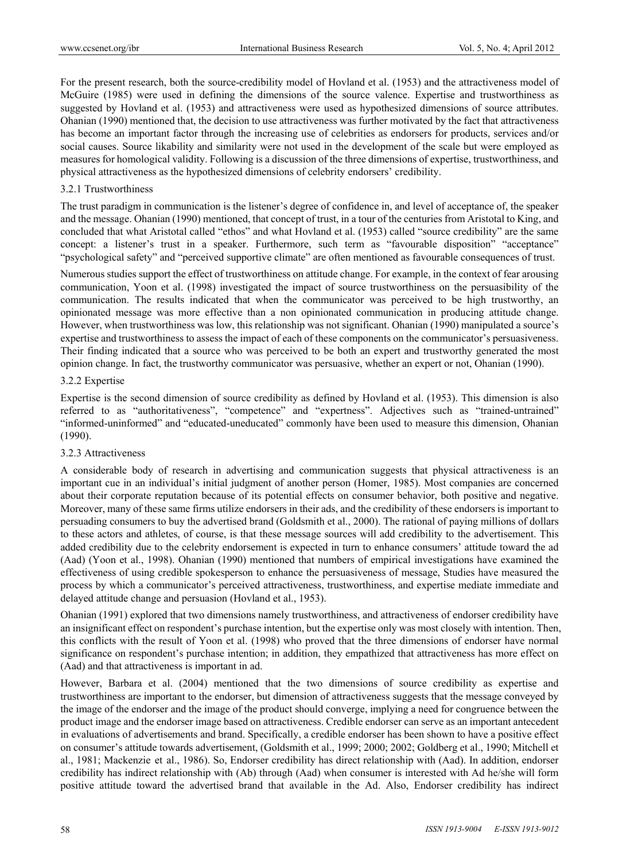For the present research, both the source-credibility model of Hovland et al. (1953) and the attractiveness model of McGuire (1985) were used in defining the dimensions of the source valence. Expertise and trustworthiness as suggested by Hovland et al. (1953) and attractiveness were used as hypothesized dimensions of source attributes. Ohanian (1990) mentioned that, the decision to use attractiveness was further motivated by the fact that attractiveness has become an important factor through the increasing use of celebrities as endorsers for products, services and/or social causes. Source likability and similarity were not used in the development of the scale but were employed as measures for homological validity. Following is a discussion of the three dimensions of expertise, trustworthiness, and physical attractiveness as the hypothesized dimensions of celebrity endorsers' credibility.

#### 3.2.1 Trustworthiness

The trust paradigm in communication is the listener's degree of confidence in, and level of acceptance of, the speaker and the message. Ohanian (1990) mentioned, that concept of trust, in a tour of the centuries from Aristotal to King, and concluded that what Aristotal called "ethos" and what Hovland et al. (1953) called "source credibility" are the same concept: a listener's trust in a speaker. Furthermore, such term as "favourable disposition" "acceptance" "psychological safety" and "perceived supportive climate" are often mentioned as favourable consequences of trust.

Numerous studies support the effect of trustworthiness on attitude change. For example, in the context of fear arousing communication, Yoon et al. (1998) investigated the impact of source trustworthiness on the persuasibility of the communication. The results indicated that when the communicator was perceived to be high trustworthy, an opinionated message was more effective than a non opinionated communication in producing attitude change. However, when trustworthiness was low, this relationship was not significant. Ohanian (1990) manipulated a source's expertise and trustworthiness to assess the impact of each of these components on the communicator's persuasiveness. Their finding indicated that a source who was perceived to be both an expert and trustworthy generated the most opinion change. In fact, the trustworthy communicator was persuasive, whether an expert or not, Ohanian (1990).

#### 3.2.2 Expertise

Expertise is the second dimension of source credibility as defined by Hovland et al. (1953). This dimension is also referred to as "authoritativeness", "competence" and "expertness". Adjectives such as "trained-untrained" "informed-uninformed" and "educated-uneducated" commonly have been used to measure this dimension, Ohanian (1990).

#### 3.2.3 Attractiveness

A considerable body of research in advertising and communication suggests that physical attractiveness is an important cue in an individual's initial judgment of another person (Homer, 1985). Most companies are concerned about their corporate reputation because of its potential effects on consumer behavior, both positive and negative. Moreover, many of these same firms utilize endorsers in their ads, and the credibility of these endorsers is important to persuading consumers to buy the advertised brand (Goldsmith et al., 2000). The rational of paying millions of dollars to these actors and athletes, of course, is that these message sources will add credibility to the advertisement. This added credibility due to the celebrity endorsement is expected in turn to enhance consumers' attitude toward the ad (Aad) (Yoon et al., 1998). Ohanian (1990) mentioned that numbers of empirical investigations have examined the effectiveness of using credible spokesperson to enhance the persuasiveness of message, Studies have measured the process by which a communicator's perceived attractiveness, trustworthiness, and expertise mediate immediate and delayed attitude change and persuasion (Hovland et al., 1953).

Ohanian (1991) explored that two dimensions namely trustworthiness, and attractiveness of endorser credibility have an insignificant effect on respondent's purchase intention, but the expertise only was most closely with intention. Then, this conflicts with the result of Yoon et al. (1998) who proved that the three dimensions of endorser have normal significance on respondent's purchase intention; in addition, they empathized that attractiveness has more effect on (Aad) and that attractiveness is important in ad.

However, Barbara et al. (2004) mentioned that the two dimensions of source credibility as expertise and trustworthiness are important to the endorser, but dimension of attractiveness suggests that the message conveyed by the image of the endorser and the image of the product should converge, implying a need for congruence between the product image and the endorser image based on attractiveness. Credible endorser can serve as an important antecedent in evaluations of advertisements and brand. Specifically, a credible endorser has been shown to have a positive effect on consumer's attitude towards advertisement, (Goldsmith et al., 1999; 2000; 2002; Goldberg et al., 1990; Mitchell et al., 1981; Mackenzie et al., 1986). So, Endorser credibility has direct relationship with (Aad). In addition, endorser credibility has indirect relationship with (Ab) through (Aad) when consumer is interested with Ad he/she will form positive attitude toward the advertised brand that available in the Ad. Also, Endorser credibility has indirect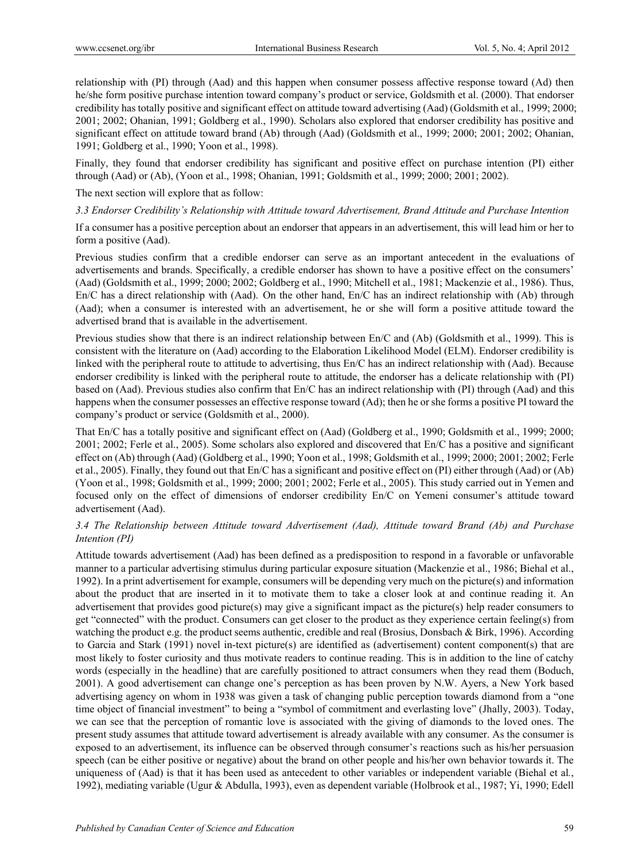relationship with (PI) through (Aad) and this happen when consumer possess affective response toward (Ad) then he/she form positive purchase intention toward company's product or service, Goldsmith et al. (2000). That endorser credibility has totally positive and significant effect on attitude toward advertising (Aad) (Goldsmith et al., 1999; 2000; 2001; 2002; Ohanian, 1991; Goldberg et al., 1990). Scholars also explored that endorser credibility has positive and significant effect on attitude toward brand (Ab) through (Aad) (Goldsmith et al., 1999; 2000; 2001; 2002; Ohanian, 1991; Goldberg et al., 1990; Yoon et al., 1998).

Finally, they found that endorser credibility has significant and positive effect on purchase intention (PI) either through (Aad) or (Ab), (Yoon et al., 1998; Ohanian, 1991; Goldsmith et al., 1999; 2000; 2001; 2002).

The next section will explore that as follow:

#### *3.3 Endorser Credibility's Relationship with Attitude toward Advertisement, Brand Attitude and Purchase Intention*

If a consumer has a positive perception about an endorser that appears in an advertisement, this will lead him or her to form a positive (Aad).

Previous studies confirm that a credible endorser can serve as an important antecedent in the evaluations of advertisements and brands. Specifically, a credible endorser has shown to have a positive effect on the consumers' (Aad) (Goldsmith et al., 1999; 2000; 2002; Goldberg et al., 1990; Mitchell et al., 1981; Mackenzie et al., 1986). Thus, En/C has a direct relationship with (Aad). On the other hand, En/C has an indirect relationship with (Ab) through (Aad); when a consumer is interested with an advertisement, he or she will form a positive attitude toward the advertised brand that is available in the advertisement.

Previous studies show that there is an indirect relationship between En/C and (Ab) (Goldsmith et al., 1999). This is consistent with the literature on (Aad) according to the Elaboration Likelihood Model (ELM). Endorser credibility is linked with the peripheral route to attitude to advertising, thus En/C has an indirect relationship with (Aad). Because endorser credibility is linked with the peripheral route to attitude, the endorser has a delicate relationship with (PI) based on (Aad). Previous studies also confirm that En/C has an indirect relationship with (PI) through (Aad) and this happens when the consumer possesses an effective response toward (Ad); then he or she forms a positive PI toward the company's product or service (Goldsmith et al., 2000).

That En/C has a totally positive and significant effect on (Aad) (Goldberg et al., 1990; Goldsmith et al., 1999; 2000; 2001; 2002; Ferle et al., 2005). Some scholars also explored and discovered that En/C has a positive and significant effect on (Ab) through (Aad) (Goldberg et al., 1990; Yoon et al., 1998; Goldsmith et al., 1999; 2000; 2001; 2002; Ferle et al., 2005). Finally, they found out that En/C has a significant and positive effect on (PI) either through (Aad) or (Ab) (Yoon et al., 1998; Goldsmith et al., 1999; 2000; 2001; 2002; Ferle et al., 2005). This study carried out in Yemen and focused only on the effect of dimensions of endorser credibility En/C on Yemeni consumer's attitude toward advertisement (Aad).

## *3.4 The Relationship between Attitude toward Advertisement (Aad), Attitude toward Brand (Ab) and Purchase Intention (PI)*

Attitude towards advertisement (Aad) has been defined as a predisposition to respond in a favorable or unfavorable manner to a particular advertising stimulus during particular exposure situation (Mackenzie et al., 1986; Biehal et al., 1992). In a print advertisement for example, consumers will be depending very much on the picture(s) and information about the product that are inserted in it to motivate them to take a closer look at and continue reading it. An advertisement that provides good picture(s) may give a significant impact as the picture(s) help reader consumers to get "connected" with the product. Consumers can get closer to the product as they experience certain feeling(s) from watching the product e.g. the product seems authentic, credible and real (Brosius, Donsbach & Birk, 1996). According to Garcia and Stark (1991) novel in-text picture(s) are identified as (advertisement) content component(s) that are most likely to foster curiosity and thus motivate readers to continue reading. This is in addition to the line of catchy words (especially in the headline) that are carefully positioned to attract consumers when they read them (Boduch, 2001). A good advertisement can change one's perception as has been proven by N.W. Ayers, a New York based advertising agency on whom in 1938 was given a task of changing public perception towards diamond from a "one time object of financial investment" to being a "symbol of commitment and everlasting love" (Jhally, 2003). Today, we can see that the perception of romantic love is associated with the giving of diamonds to the loved ones. The present study assumes that attitude toward advertisement is already available with any consumer. As the consumer is exposed to an advertisement, its influence can be observed through consumer's reactions such as his/her persuasion speech (can be either positive or negative) about the brand on other people and his/her own behavior towards it. The uniqueness of (Aad) is that it has been used as antecedent to other variables or independent variable (Biehal et al*.*, 1992), mediating variable (Ugur & Abdulla, 1993), even as dependent variable (Holbrook et al., 1987; Yi, 1990; Edell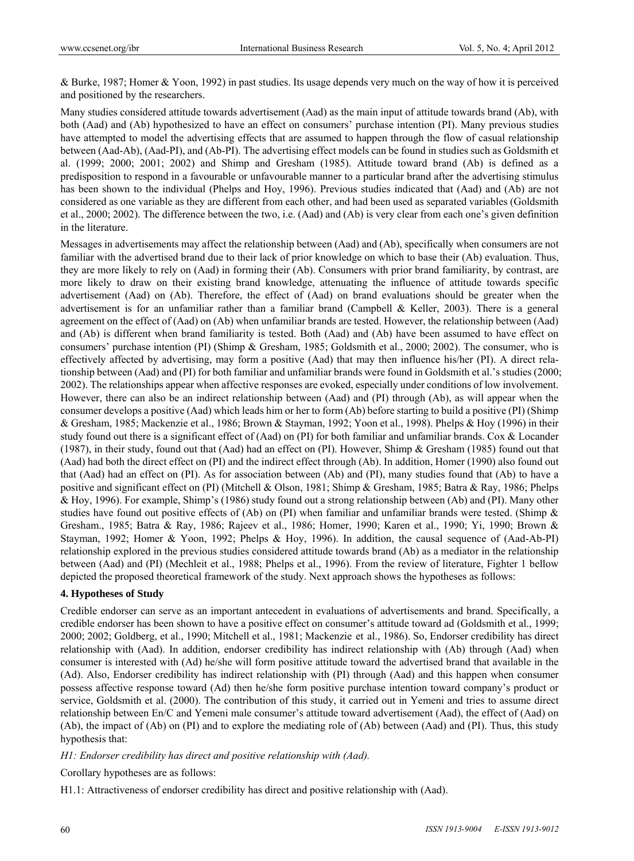& Burke, 1987; Homer & Yoon, 1992) in past studies. Its usage depends very much on the way of how it is perceived and positioned by the researchers.

Many studies considered attitude towards advertisement (Aad) as the main input of attitude towards brand (Ab), with both (Aad) and (Ab) hypothesized to have an effect on consumers' purchase intention (PI). Many previous studies have attempted to model the advertising effects that are assumed to happen through the flow of casual relationship between (Aad-Ab), (Aad-PI), and (Ab-PI). The advertising effect models can be found in studies such as Goldsmith et al. (1999; 2000; 2001; 2002) and Shimp and Gresham (1985). Attitude toward brand (Ab) is defined as a predisposition to respond in a favourable or unfavourable manner to a particular brand after the advertising stimulus has been shown to the individual (Phelps and Hoy, 1996). Previous studies indicated that (Aad) and (Ab) are not considered as one variable as they are different from each other, and had been used as separated variables (Goldsmith et al., 2000; 2002). The difference between the two, i.e. (Aad) and (Ab) is very clear from each one's given definition in the literature.

Messages in advertisements may affect the relationship between (Aad) and (Ab), specifically when consumers are not familiar with the advertised brand due to their lack of prior knowledge on which to base their (Ab) evaluation. Thus, they are more likely to rely on (Aad) in forming their (Ab). Consumers with prior brand familiarity, by contrast, are more likely to draw on their existing brand knowledge, attenuating the influence of attitude towards specific advertisement (Aad) on (Ab). Therefore, the effect of (Aad) on brand evaluations should be greater when the advertisement is for an unfamiliar rather than a familiar brand (Campbell & Keller, 2003). There is a general agreement on the effect of (Aad) on (Ab) when unfamiliar brands are tested. However, the relationship between (Aad) and (Ab) is different when brand familiarity is tested. Both (Aad) and (Ab) have been assumed to have effect on consumers' purchase intention (PI) (Shimp & Gresham, 1985; Goldsmith et al., 2000; 2002). The consumer, who is effectively affected by advertising, may form a positive (Aad) that may then influence his/her (PI). A direct relationship between (Aad) and (PI) for both familiar and unfamiliar brands were found in Goldsmith et al.'s studies (2000; 2002). The relationships appear when affective responses are evoked, especially under conditions of low involvement. However, there can also be an indirect relationship between (Aad) and (PI) through (Ab), as will appear when the consumer develops a positive (Aad) which leads him or her to form (Ab) before starting to build a positive (PI) (Shimp & Gresham, 1985; Mackenzie et al., 1986; Brown & Stayman, 1992; Yoon et al., 1998). Phelps & Hoy (1996) in their study found out there is a significant effect of (Aad) on (PI) for both familiar and unfamiliar brands. Cox & Locander (1987), in their study, found out that (Aad) had an effect on (PI). However, Shimp & Gresham (1985) found out that (Aad) had both the direct effect on (PI) and the indirect effect through (Ab). In addition, Homer (1990) also found out that (Aad) had an effect on (PI). As for association between (Ab) and (PI), many studies found that (Ab) to have a positive and significant effect on (PI) (Mitchell & Olson, 1981; Shimp & Gresham, 1985; Batra & Ray, 1986; Phelps & Hoy, 1996). For example, Shimp's (1986) study found out a strong relationship between (Ab) and (PI). Many other studies have found out positive effects of (Ab) on (PI) when familiar and unfamiliar brands were tested. (Shimp  $\&$ Gresham., 1985; Batra & Ray, 1986; Rajeev et al., 1986; Homer, 1990; Karen et al., 1990; Yi, 1990; Brown & Stayman, 1992; Homer & Yoon, 1992; Phelps & Hoy, 1996). In addition, the causal sequence of (Aad-Ab-PI) relationship explored in the previous studies considered attitude towards brand (Ab) as a mediator in the relationship between (Aad) and (PI) (Mechleit et al., 1988; Phelps et al., 1996). From the review of literature, Fighter 1 bellow depicted the proposed theoretical framework of the study. Next approach shows the hypotheses as follows:

# **4. Hypotheses of Study**

Credible endorser can serve as an important antecedent in evaluations of advertisements and brand. Specifically, a credible endorser has been shown to have a positive effect on consumer's attitude toward ad (Goldsmith et al., 1999; 2000; 2002; Goldberg, et al., 1990; Mitchell et al., 1981; Mackenzie et al., 1986). So, Endorser credibility has direct relationship with (Aad). In addition, endorser credibility has indirect relationship with (Ab) through (Aad) when consumer is interested with (Ad) he/she will form positive attitude toward the advertised brand that available in the (Ad). Also, Endorser credibility has indirect relationship with (PI) through (Aad) and this happen when consumer possess affective response toward (Ad) then he/she form positive purchase intention toward company's product or service, Goldsmith et al. (2000). The contribution of this study, it carried out in Yemeni and tries to assume direct relationship between En/C and Yemeni male consumer's attitude toward advertisement (Aad), the effect of (Aad) on (Ab), the impact of (Ab) on (PI) and to explore the mediating role of (Ab) between (Aad) and (PI). Thus, this study hypothesis that:

# *H1: Endorser credibility has direct and positive relationship with (Aad).*

Corollary hypotheses are as follows:

H1.1: Attractiveness of endorser credibility has direct and positive relationship with (Aad).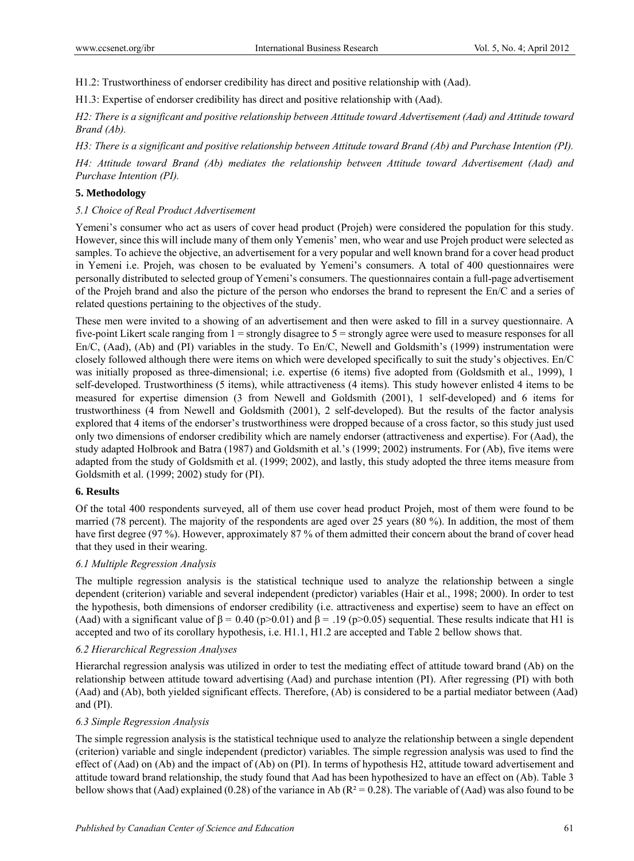H1.2: Trustworthiness of endorser credibility has direct and positive relationship with (Aad).

H1.3: Expertise of endorser credibility has direct and positive relationship with (Aad).

*H2: There is a significant and positive relationship between Attitude toward Advertisement (Aad) and Attitude toward Brand (Ab).* 

*H3: There is a significant and positive relationship between Attitude toward Brand (Ab) and Purchase Intention (PI). H4: Attitude toward Brand (Ab) mediates the relationship between Attitude toward Advertisement (Aad) and Purchase Intention (PI).* 

## **5. Methodology**

## *5.1 Choice of Real Product Advertisement*

Yemeni's consumer who act as users of cover head product (Projeh) were considered the population for this study. However, since this will include many of them only Yemenis' men, who wear and use Projeh product were selected as samples. To achieve the objective, an advertisement for a very popular and well known brand for a cover head product in Yemeni i.e. Projeh, was chosen to be evaluated by Yemeni's consumers. A total of 400 questionnaires were personally distributed to selected group of Yemeni's consumers. The questionnaires contain a full-page advertisement of the Projeh brand and also the picture of the person who endorses the brand to represent the En/C and a series of related questions pertaining to the objectives of the study.

These men were invited to a showing of an advertisement and then were asked to fill in a survey questionnaire. A five-point Likert scale ranging from 1 = strongly disagree to 5 = strongly agree were used to measure responses for all En/C, (Aad), (Ab) and (PI) variables in the study. To En/C, Newell and Goldsmith's (1999) instrumentation were closely followed although there were items on which were developed specifically to suit the study's objectives. En/C was initially proposed as three-dimensional; i.e. expertise (6 items) five adopted from (Goldsmith et al., 1999), 1 self-developed. Trustworthiness (5 items), while attractiveness (4 items). This study however enlisted 4 items to be measured for expertise dimension (3 from Newell and Goldsmith (2001), 1 self-developed) and 6 items for trustworthiness (4 from Newell and Goldsmith (2001), 2 self-developed). But the results of the factor analysis explored that 4 items of the endorser's trustworthiness were dropped because of a cross factor, so this study just used only two dimensions of endorser credibility which are namely endorser (attractiveness and expertise). For (Aad), the study adapted Holbrook and Batra (1987) and Goldsmith et al.'s (1999; 2002) instruments. For (Ab), five items were adapted from the study of Goldsmith et al. (1999; 2002), and lastly, this study adopted the three items measure from Goldsmith et al. (1999; 2002) study for (PI).

## **6. Results**

Of the total 400 respondents surveyed, all of them use cover head product Projeh, most of them were found to be married (78 percent). The majority of the respondents are aged over 25 years (80 %). In addition, the most of them have first degree (97 %). However, approximately 87 % of them admitted their concern about the brand of cover head that they used in their wearing.

## *6.1 Multiple Regression Analysis*

The multiple regression analysis is the statistical technique used to analyze the relationship between a single dependent (criterion) variable and several independent (predictor) variables (Hair et al., 1998; 2000). In order to test the hypothesis, both dimensions of endorser credibility (i.e. attractiveness and expertise) seem to have an effect on (Aad) with a significant value of  $\beta = 0.40$  (p>0.01) and  $\beta = 0.19$  (p>0.05) sequential. These results indicate that H1 is accepted and two of its corollary hypothesis, i.e. H1.1, H1.2 are accepted and Table 2 bellow shows that.

## *6.2 Hierarchical Regression Analyses*

Hierarchal regression analysis was utilized in order to test the mediating effect of attitude toward brand (Ab) on the relationship between attitude toward advertising (Aad) and purchase intention (PI). After regressing (PI) with both (Aad) and (Ab), both yielded significant effects. Therefore, (Ab) is considered to be a partial mediator between (Aad) and (PI).

## *6.3 Simple Regression Analysis*

The simple regression analysis is the statistical technique used to analyze the relationship between a single dependent (criterion) variable and single independent (predictor) variables. The simple regression analysis was used to find the effect of (Aad) on (Ab) and the impact of (Ab) on (PI). In terms of hypothesis H2, attitude toward advertisement and attitude toward brand relationship, the study found that Aad has been hypothesized to have an effect on (Ab). Table 3 bellow shows that (Aad) explained (0.28) of the variance in Ab ( $R^2 = 0.28$ ). The variable of (Aad) was also found to be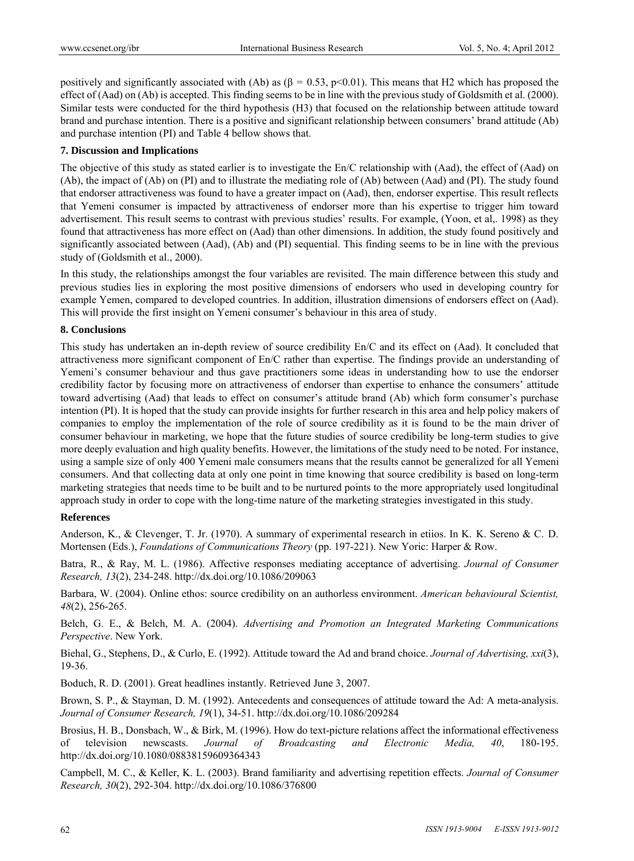positively and significantly associated with (Ab) as  $(\beta = 0.53, \text{p} < 0.01)$ . This means that H2 which has proposed the effect of (Aad) on (Ab) is accepted. This finding seems to be in line with the previous study of Goldsmith et al. (2000). Similar tests were conducted for the third hypothesis (H3) that focused on the relationship between attitude toward brand and purchase intention. There is a positive and significant relationship between consumers' brand attitude (Ab) and purchase intention (PI) and Table 4 bellow shows that.

## **7. Discussion and Implications**

The objective of this study as stated earlier is to investigate the En/C relationship with (Aad), the effect of (Aad) on (Ab), the impact of (Ab) on (PI) and to illustrate the mediating role of (Ab) between (Aad) and (PI). The study found that endorser attractiveness was found to have a greater impact on (Aad), then, endorser expertise. This result reflects that Yemeni consumer is impacted by attractiveness of endorser more than his expertise to trigger him toward advertisement. This result seems to contrast with previous studies' results. For example, (Yoon, et al,. 1998) as they found that attractiveness has more effect on (Aad) than other dimensions. In addition, the study found positively and significantly associated between (Aad), (Ab) and (PI) sequential. This finding seems to be in line with the previous study of (Goldsmith et al., 2000).

In this study, the relationships amongst the four variables are revisited. The main difference between this study and previous studies lies in exploring the most positive dimensions of endorsers who used in developing country for example Yemen, compared to developed countries. In addition, illustration dimensions of endorsers effect on (Aad). This will provide the first insight on Yemeni consumer's behaviour in this area of study.

## **8. Conclusions**

This study has undertaken an in-depth review of source credibility En/C and its effect on (Aad). It concluded that attractiveness more significant component of En/C rather than expertise. The findings provide an understanding of Yemeni's consumer behaviour and thus gave practitioners some ideas in understanding how to use the endorser credibility factor by focusing more on attractiveness of endorser than expertise to enhance the consumers' attitude toward advertising (Aad) that leads to effect on consumer's attitude brand (Ab) which form consumer's purchase intention (PI). It is hoped that the study can provide insights for further research in this area and help policy makers of companies to employ the implementation of the role of source credibility as it is found to be the main driver of consumer behaviour in marketing, we hope that the future studies of source credibility be long-term studies to give more deeply evaluation and high quality benefits. However, the limitations of the study need to be noted. For instance, using a sample size of only 400 Yemeni male consumers means that the results cannot be generalized for all Yemeni consumers. And that collecting data at only one point in time knowing that source credibility is based on long-term marketing strategies that needs time to be built and to be nurtured points to the more appropriately used longitudinal approach study in order to cope with the long-time nature of the marketing strategies investigated in this study.

# **References**

Anderson, K., & Clevenger, T. Jr. (1970). A summary of experimental research in etiios. In K. K. Sereno & C. D. Mortensen (Eds.), *Foundations of Communications Theory* (pp. 197-221). New Yoric: Harper & Row.

Batra, R., & Ray, M. L. (1986). Affective responses mediating acceptance of advertising. *Journal of Consumer Research, 13*(2), 234-248. http://dx.doi.org/10.1086/209063

Barbara, W. (2004). Online ethos: source credibility on an authorless environment. *American behavioural Scientist, 48*(2), 256-265.

Belch, G. E., & Belch, M. A. (2004). *Advertising and Promotion an Integrated Marketing Communications Perspective*. New York.

Biehal, G., Stephens, D., & Curlo, E. (1992). Attitude toward the Ad and brand choice. *Journal of Advertising, xxi*(3), 19-36.

Boduch, R. D. (2001). Great headlines instantly. Retrieved June 3, 2007.

Brown, S. P., & Stayman, D. M. (1992). Antecedents and consequences of attitude toward the Ad: A meta-analysis. *Journal of Consumer Research, 19*(1), 34-51. http://dx.doi.org/10.1086/209284

Brosius, H. B., Donsbach, W., & Birk, M. (1996). How do text-picture relations affect the informational effectiveness of television newscasts. *Journal of Broadcasting and Electronic Media, 40*, 180-195. http://dx.doi.org/10.1080/08838159609364343

Campbell, M. C., & Keller, K. L. (2003). Brand familiarity and advertising repetition effects. *Journal of Consumer Research, 30*(2), 292-304. http://dx.doi.org/10.1086/376800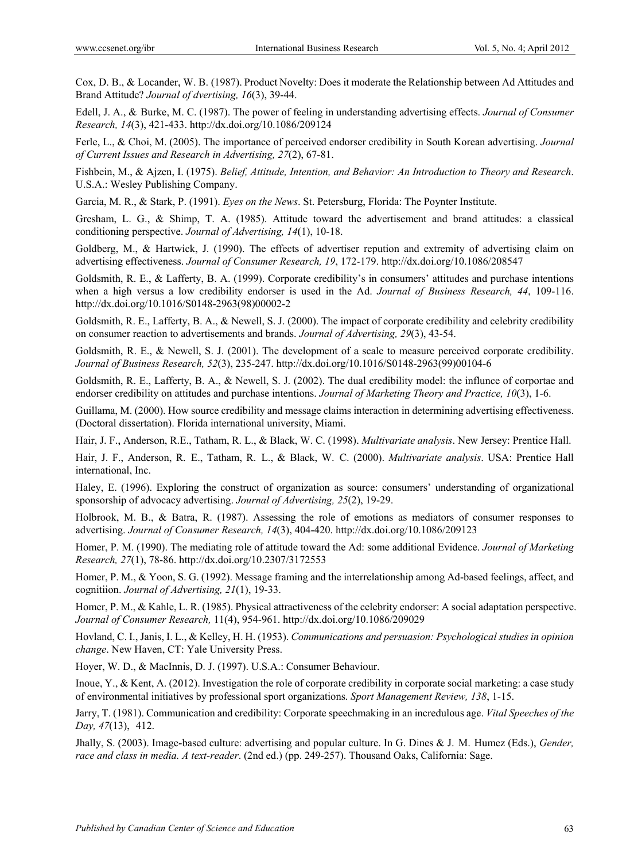Cox, D. B., & Locander, W. B. (1987). Product Novelty: Does it moderate the Relationship between Ad Attitudes and Brand Attitude? *Journal of dvertising, 16*(3), 39-44.

Edell, J. A., & Burke, M. C. (1987). The power of feeling in understanding advertising effects. *Journal of Consumer* Research, 14(3), 421-433. http://dx.doi.org/10.1086/209124

Ferle, L., & Choi, M. (2005). The importance of perceived endorser credibility in South Korean advertising. *Journal of Current t Issues and Re esearch in Adv vertising, 27*(2) ), 67-81.

Fishbein, M M., & Ajzen, I I. (1975). *Belie ef, Attitude, In tention, and B Behavior: An In ntroduction to Theory and R Research*. U.S.A.: Wesley Publishing Company.

Garcia, M. R., & Stark, P. (1991). *Eyes on the News*. St. Petersburg, Florida: The Poynter Institute.

Gresham, L. G., & Shimp, T. A. (1985). Attitude toward the advertisement and brand attitudes: a classical conditioning perspective. *Journal of Advertising, 14*(1), 10-18.

Goldberg, M., & Hartwick, J. (1990). The effects of advertiser repution and extremity of advertising claim on advertising effectiveness. *Journal of Consumer Research,* 19, 172-179. http://dx.doi.org/10.1086/208547

Goldsmith, R. E., & Lafferty, B. A. (1999). Corporate credibility's in consumers' attitudes and purchase intentions when a high versus a low credibility endorser is used in the Ad. *Journal of Business Research*, 44, 109-116. http://dx.doi.org/10.1016/S0148-2963(98)00002-2

Goldsmith, R. E., Lafferty, B. A., & Newell, S. J. (2000). The impact of corporate credibility and celebrity credibility on consumer reaction to advertisements and brands. *Journal of Advertising*, 29(3), 43-54.

Goldsmith, R. E., & Newell, S. J. (2001). The development of a scale to measure perceived corporate credibility. *Journal of Business Research,* 52(3), 235-247. http://dx.doi.org/10.1016/S0148-2963(99)00104-6

Goldsmith, R. E., Lafferty, B. A., & Newell, S. J. (2002). The dual credibility model: the influnce of corportae and endorser credibility on attitudes and purchase intentions. *Journal of Marketing Theory and Practice, 10*(3), 1-6.

Guillama, M. (2000). How source credibility and message claims interaction in determining advertising effectiveness. (Doctoral dissertation). Florida international university, Miami.

Hair, J. F., Anderson, R.E., Tatham, R. L., & Black, W. C. (1998). *Multivariate analysis*. New Jersey: Prentice Hall.

Hair, J. F., Anderson, R. E., Tatham, R. L., & Black, W. C. (2000). *Multivariate analysis*. USA: Prentice Hall international, Inc.

Haley, E. (1996). Exploring the construct of organization as source: consumers' understanding of organizational sponsorship of advocacy advertising. *Journal of Advertising*, 25(2), 19-29.

Holbrook, M. B., & Batra, R. (1987). Assessing the role of emotions as mediators of consumer responses to advertising. *Journal of Consumer Research,* 14(3), 404-420. http://dx.doi.org/10.1086/209123

Homer, P. M. (1990). The mediating role of attitude toward the Ad: some additional Evidence. *Journal of Marketing* Research, 27(1), 78-86. http://dx.doi.org/10.2307/3172553

Homer, P. M., & Yoon, S. G. (1992). Message framing and the interrelationship among Ad-based feelings, affect, and cognitiion. *Journal of Advertising*, 21(1), 19-33.

Homer, P. M., & Kahle, L. R. (1985). Physical attractiveness of the celebrity endorser: A social adaptation perspective. Journal of Consumer Research, 11(4), 954-961. http://dx.doi.org/10.1086/209029

Hovland, C. I., Janis, I. L., & Kelley, H. H. (1953). *Communications and persuasion: Psychological studies in opinion* change. New Haven, CT: Yale University Press.

Hoyer, W. D., & MacInnis, D. J. (1997). U.S.A.: Consumer Behaviour.

Inoue, Y., & Kent, A. (2012). Investigation the role of corporate credibility in corporate social marketing: a case study of environ nmental initiati ves by profess sional sport org ganizations. *Sp port Managem ment Review, 13 38*, 1-15.

Jarry, T. (1981). Communication and credibility: Corporate speechmaking in an incredulous age. *Vital Speeches of the Day, 47*(13 3), 412.

Jhally, S. (2003). Image-based culture: advertising and popular culture. In G. Dines & J. M. Humez (Eds.), *Gender,* race and class in media. A text-reader. (2nd ed.) (pp. 249-257). Thousand Oaks, California: Sage.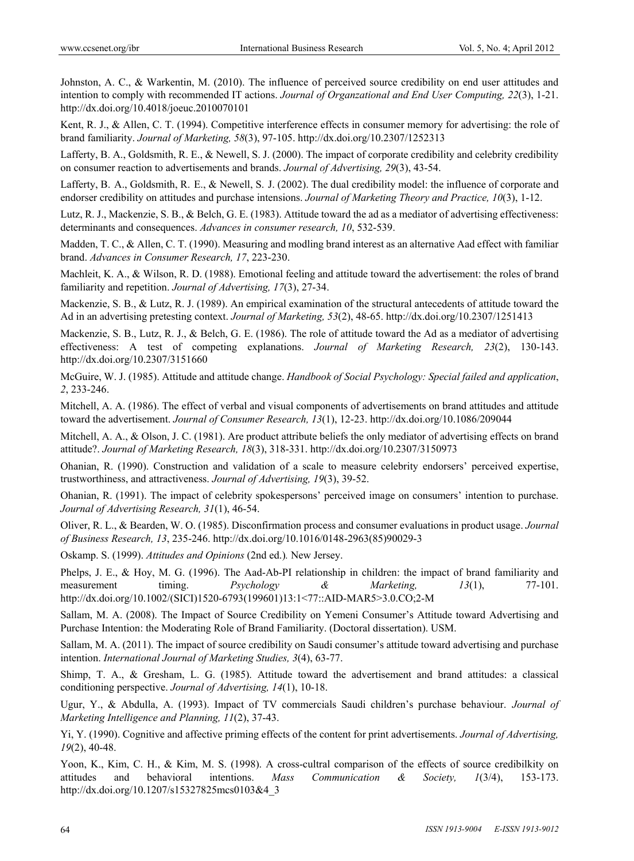Johnston, A. C., & Warkentin, M. (2010). The influence of perceived source credibility on end user attitudes and intention to comply with recommended IT actions. *Journal of Organzational and End User Computing, 22*(3), 1-21. http://dx.doi.org/10.4018/joeuc.2010070101

Kent, R. J., & Allen, C. T. (1994). Competitive interference effects in consumer memory for advertising: the role of brand familiarity. *Journal of Marketing, 58*(3), 97-105. http://dx.doi.org/10.2307/1252313

Lafferty, B. A., Goldsmith, R. E., & Newell, S. J. (2000). The impact of corporate credibility and celebrity credibility on consumer reaction to advertisements and brands. *Journal of Advertising, 29*(3), 43-54.

Lafferty, B. A., Goldsmith, R. E., & Newell, S. J. (2002). The dual credibility model: the influence of corporate and endorser credibility on attitudes and purchase intensions. *Journal of Marketing Theory and Practice, 10*(3), 1-12.

Lutz, R. J., Mackenzie, S. B., & Belch, G. E. (1983). Attitude toward the ad as a mediator of advertising effectiveness: determinants and consequences. *Advances in consumer research, 10*, 532-539.

Madden, T. C., & Allen, C. T. (1990). Measuring and modling brand interest as an alternative Aad effect with familiar brand. *Advances in Consumer Research, 17*, 223-230.

Machleit, K. A., & Wilson, R. D. (1988). Emotional feeling and attitude toward the advertisement: the roles of brand familiarity and repetition. *Journal of Advertising, 17*(3), 27-34.

Mackenzie, S. B., & Lutz, R. J. (1989). An empirical examination of the structural antecedents of attitude toward the Ad in an advertising pretesting context. *Journal of Marketing, 53*(2), 48-65. http://dx.doi.org/10.2307/1251413

Mackenzie, S. B., Lutz, R. J., & Belch, G. E. (1986). The role of attitude toward the Ad as a mediator of advertising effectiveness: A test of competing explanations. *Journal of Marketing Research, 23*(2), 130-143. http://dx.doi.org/10.2307/3151660

McGuire, W. J. (1985). Attitude and attitude change. *Handbook of Social Psychology: Special failed and application*, *2*, 233-246.

Mitchell, A. A. (1986). The effect of verbal and visual components of advertisements on brand attitudes and attitude toward the advertisement. *Journal of Consumer Research, 13*(1), 12-23. http://dx.doi.org/10.1086/209044

Mitchell, A. A., & Olson, J. C. (1981). Are product attribute beliefs the only mediator of advertising effects on brand attitude?. *Journal of Marketing Research, 18*(3), 318-331. http://dx.doi.org/10.2307/3150973

Ohanian, R. (1990). Construction and validation of a scale to measure celebrity endorsers' perceived expertise, trustworthiness, and attractiveness. *Journal of Advertising, 19*(3), 39-52.

Ohanian, R. (1991). The impact of celebrity spokespersons' perceived image on consumers' intention to purchase. *Journal of Advertising Research, 31*(1), 46-54.

Oliver, R. L., & Bearden, W. O. (1985). Disconfirmation process and consumer evaluations in product usage. *Journal of Business Research, 13*, 235-246. http://dx.doi.org/10.1016/0148-2963(85)90029-3

Oskamp. S. (1999). *Attitudes and Opinions* (2nd ed.)*.* New Jersey.

Phelps, J. E., & Hoy, M. G. (1996). The Aad-Ab-PI relationship in children: the impact of brand familiarity and measurement timing. *Psychology & Marketing, 13*(1), 77-101. http://dx.doi.org/10.1002/(SICI)1520-6793(199601)13:1<77::AID-MAR5>3.0.CO;2-M

Sallam, M. A. (2008). The Impact of Source Credibility on Yemeni Consumer's Attitude toward Advertising and Purchase Intention: the Moderating Role of Brand Familiarity. (Doctoral dissertation). USM.

Sallam, M. A. (2011). The impact of source credibility on Saudi consumer's attitude toward advertising and purchase intention. *International Journal of Marketing Studies, 3*(4), 63-77.

Shimp, T. A., & Gresham, L. G. (1985). Attitude toward the advertisement and brand attitudes: a classical conditioning perspective. *Journal of Advertising, 14*(1), 10-18.

Ugur, Y., & Abdulla, A. (1993). Impact of TV commercials Saudi children's purchase behaviour. *Journal of Marketing Intelligence and Planning, 11*(2), 37-43.

Yi, Y. (1990). Cognitive and affective priming effects of the content for print advertisements. *Journal of Advertising, 19*(2), 40-48.

Yoon, K., Kim, C. H., & Kim, M. S. (1998). A cross-cultral comparison of the effects of source credibilkity on attitudes and behavioral intentions. *Mass Communication & Society, 1*(3/4), 153-173. http://dx.doi.org/10.1207/s15327825mcs0103&4\_3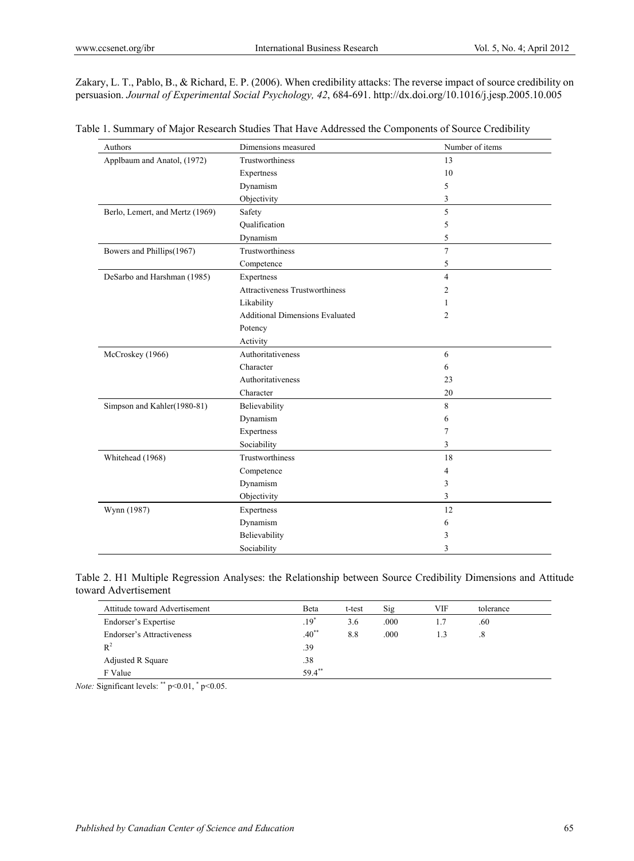Zakary, L. T., Pablo, B., & Richard, E. P. (2006). When credibility attacks: The reverse impact of source credibility on persuasion. *Journal of Experimental Social Psychology, 42*, 684-691. http://dx.doi.org/10.1016/j.jesp.2005.10.005

| Table 1. Summary of Major Research Studies That Have Addressed the Components of Source Credibility |  |
|-----------------------------------------------------------------------------------------------------|--|
|                                                                                                     |  |

| Authors                         | Dimensions measured                    | Number of items |
|---------------------------------|----------------------------------------|-----------------|
| Applbaum and Anatol, (1972)     | Trustworthiness                        | 13              |
|                                 | Expertness                             | 10              |
|                                 | Dynamism                               | 5               |
|                                 | Objectivity                            | 3               |
| Berlo, Lemert, and Mertz (1969) | Safety                                 | 5               |
|                                 | Qualification                          | 5               |
|                                 | Dynamism                               | 5               |
| Bowers and Phillips(1967)       | Trustworthiness                        | $\overline{7}$  |
|                                 | Competence                             | 5               |
| DeSarbo and Harshman (1985)     | Expertness                             | $\overline{4}$  |
|                                 | Attractiveness Trustworthiness         | $\overline{2}$  |
|                                 | Likability                             | 1               |
|                                 | <b>Additional Dimensions Evaluated</b> | $\overline{2}$  |
|                                 | Potency                                |                 |
|                                 | Activity                               |                 |
| McCroskey (1966)                | Authoritativeness                      | 6               |
|                                 | Character                              | 6               |
|                                 | Authoritativeness                      | 23              |
|                                 | Character                              | 20              |
| Simpson and Kahler(1980-81)     | Believability                          | 8               |
|                                 | Dynamism                               | 6               |
|                                 | Expertness                             | 7               |
|                                 | Sociability                            | 3               |
| Whitehead (1968)                | Trustworthiness                        | 18              |
|                                 | Competence                             | 4               |
|                                 | Dynamism                               | 3               |
|                                 | Objectivity                            | 3               |
| Wynn (1987)                     | Expertness                             | 12              |
|                                 | Dynamism                               | 6               |
|                                 | Believability                          | 3               |
|                                 | Sociability                            | 3               |

Table 2. H1 Multiple Regression Analyses: the Relationship between Source Credibility Dimensions and Attitude toward Advertisement

| Attitude toward Advertisement | Beta       | t-test | Sig  | VIF | tolerance |
|-------------------------------|------------|--------|------|-----|-----------|
| Endorser's Expertise          | $.19*$     | 3.6    | .000 | 1.7 | .60       |
| Endorser's Attractiveness     | $.40^{**}$ | 8.8    | .000 |     | .8        |
| $R^2$                         | .39        |        |      |     |           |
| Adjusted R Square             | .38        |        |      |     |           |
| F Value                       | $59.4***$  |        |      |     |           |

*Note:* Significant levels: \*\*  $p<0.01$ , \*  $p<0.05$ .